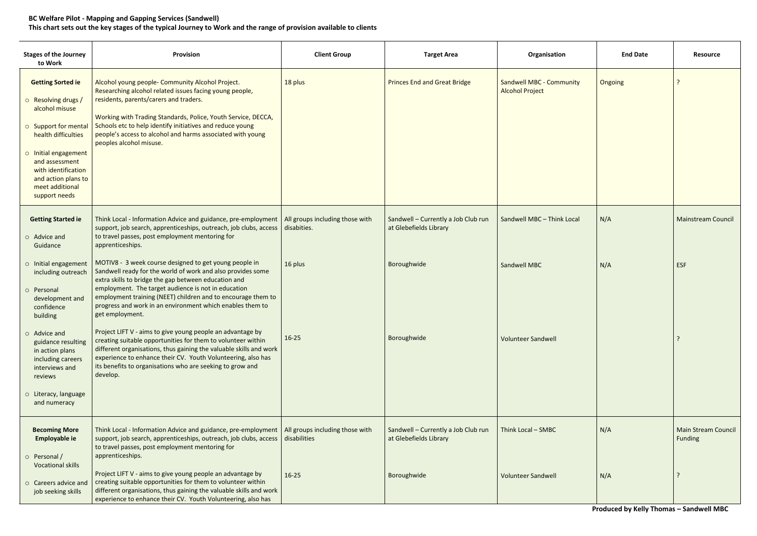## **BC Welfare Pilot - Mapping and Gapping Services (Sandwell) This chart sets out the key stages of the typical Journey to Work and the range of provision available to clients**

| <b>Stages of the Journey</b><br>to Work                                                                                                                                                                                                      | Provision                                                                                                                                                                                                                                                                                                                                                                            | <b>Client Group</b>                             | <b>Target Area</b>                                            | Organisation                                              | <b>End Date</b> | <b>Resource</b>                       |
|----------------------------------------------------------------------------------------------------------------------------------------------------------------------------------------------------------------------------------------------|--------------------------------------------------------------------------------------------------------------------------------------------------------------------------------------------------------------------------------------------------------------------------------------------------------------------------------------------------------------------------------------|-------------------------------------------------|---------------------------------------------------------------|-----------------------------------------------------------|-----------------|---------------------------------------|
| <b>Getting Sorted ie</b><br>o Resolving drugs /<br>alcohol misuse<br>o Support for mental<br>health difficulties<br>o Initial engagement<br>and assessment<br>with identification<br>and action plans to<br>meet additional<br>support needs | Alcohol young people- Community Alcohol Project.<br>Researching alcohol related issues facing young people,<br>residents, parents/carers and traders.<br>Working with Trading Standards, Police, Youth Service, DECCA,<br>Schools etc to help identify initiatives and reduce young<br>people's access to alcohol and harms associated with young<br>peoples alcohol misuse.         | 18 plus                                         | <b>Princes End and Great Bridge</b>                           | <b>Sandwell MBC - Community</b><br><b>Alcohol Project</b> | Ongoing         |                                       |
| <b>Getting Started ie</b><br>$\circ$ Advice and<br>Guidance                                                                                                                                                                                  | Think Local - Information Advice and guidance, pre-employment<br>support, job search, apprenticeships, outreach, job clubs, access<br>to travel passes, post employment mentoring for<br>apprenticeships.                                                                                                                                                                            | All groups including those with<br>disabities.  | Sandwell - Currently a Job Club run<br>at Glebefields Library | Sandwell MBC - Think Local                                | N/A             | <b>Mainstream Council</b>             |
| o Initial engagement<br>including outreach<br>o Personal<br>development and<br>confidence<br>building                                                                                                                                        | MOTIV8 - 3 week course designed to get young people in<br>Sandwell ready for the world of work and also provides some<br>extra skills to bridge the gap between education and<br>employment. The target audience is not in education<br>employment training (NEET) children and to encourage them to<br>progress and work in an environment which enables them to<br>get employment. | 16 plus                                         | Boroughwide                                                   | <b>Sandwell MBC</b>                                       | N/A             | <b>ESF</b>                            |
| $\circ$ Advice and<br>guidance resulting<br>in action plans<br>including careers<br>interviews and<br>reviews<br>o Literacy, language<br>and numeracy                                                                                        | Project LIFT V - aims to give young people an advantage by<br>creating suitable opportunities for them to volunteer within<br>different organisations, thus gaining the valuable skills and work<br>experience to enhance their CV. Youth Volunteering, also has<br>its benefits to organisations who are seeking to grow and<br>develop.                                            | $16 - 25$                                       | Boroughwide                                                   | <b>Volunteer Sandwell</b>                                 |                 |                                       |
|                                                                                                                                                                                                                                              |                                                                                                                                                                                                                                                                                                                                                                                      |                                                 |                                                               |                                                           |                 |                                       |
| <b>Becoming More</b><br>Employable ie<br>o Personal /                                                                                                                                                                                        | Think Local - Information Advice and guidance, pre-employment<br>support, job search, apprenticeships, outreach, job clubs, access<br>to travel passes, post employment mentoring for<br>apprenticeships.                                                                                                                                                                            | All groups including those with<br>disabilities | Sandwell - Currently a Job Club run<br>at Glebefields Library | Think Local - SMBC                                        | N/A             | <b>Main Stream Council</b><br>Funding |
| <b>Vocational skills</b><br>o Careers advice and<br>job seeking skills                                                                                                                                                                       | Project LIFT V - aims to give young people an advantage by<br>creating suitable opportunities for them to volunteer within<br>different organisations, thus gaining the valuable skills and work<br>experience to enhance their CV. Youth Volunteering, also has                                                                                                                     | $16 - 25$                                       | Boroughwide                                                   | <b>Volunteer Sandwell</b>                                 | N/A             |                                       |